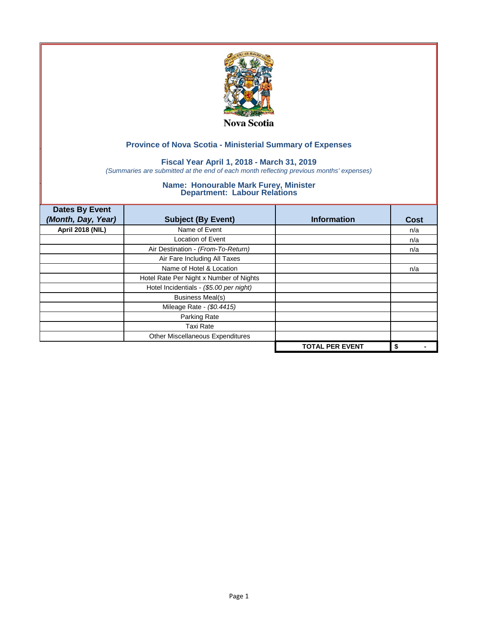

## **Fiscal Year April 1, 2018 - March 31, 2019**

*(Summaries are submitted at the end of each month reflecting previous months' expenses)*

| <b>Dates By Event</b>   |                                         |                        |      |
|-------------------------|-----------------------------------------|------------------------|------|
| (Month, Day, Year)      | <b>Subject (By Event)</b>               | <b>Information</b>     | Cost |
| <b>April 2018 (NIL)</b> | Name of Event                           |                        | n/a  |
|                         | <b>Location of Event</b>                |                        | n/a  |
|                         | Air Destination - (From-To-Return)      |                        | n/a  |
|                         | Air Fare Including All Taxes            |                        |      |
|                         | Name of Hotel & Location                |                        | n/a  |
|                         | Hotel Rate Per Night x Number of Nights |                        |      |
|                         | Hotel Incidentials - (\$5.00 per night) |                        |      |
|                         | <b>Business Meal(s)</b>                 |                        |      |
|                         | Mileage Rate - (\$0.4415)               |                        |      |
|                         | Parking Rate                            |                        |      |
|                         | <b>Taxi Rate</b>                        |                        |      |
|                         | Other Miscellaneous Expenditures        |                        |      |
|                         |                                         | <b>TOTAL PER EVENT</b> | \$   |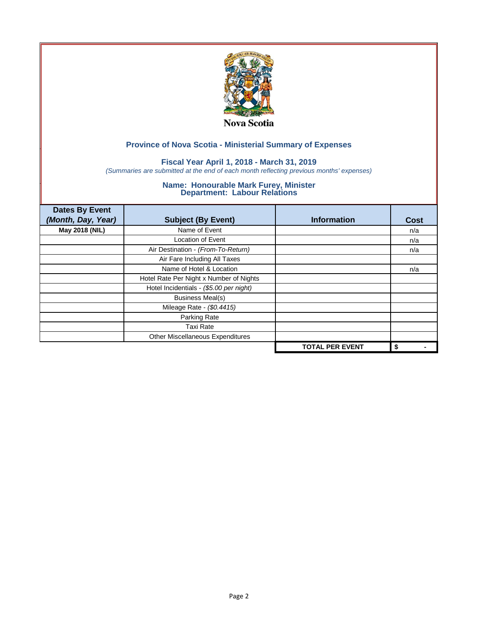

## **Fiscal Year April 1, 2018 - March 31, 2019**

*(Summaries are submitted at the end of each month reflecting previous months' expenses)*

| <b>Dates By Event</b><br>(Month, Day, Year) | <b>Subject (By Event)</b>               | <b>Information</b>     | <b>Cost</b> |
|---------------------------------------------|-----------------------------------------|------------------------|-------------|
| May 2018 (NIL)                              | Name of Event                           |                        | n/a         |
|                                             | Location of Event                       |                        | n/a         |
|                                             | Air Destination - (From-To-Return)      |                        | n/a         |
|                                             | Air Fare Including All Taxes            |                        |             |
|                                             | Name of Hotel & Location                |                        | n/a         |
|                                             | Hotel Rate Per Night x Number of Nights |                        |             |
|                                             | Hotel Incidentials - (\$5.00 per night) |                        |             |
|                                             | <b>Business Meal(s)</b>                 |                        |             |
|                                             | Mileage Rate - (\$0.4415)               |                        |             |
|                                             | Parking Rate                            |                        |             |
|                                             | <b>Taxi Rate</b>                        |                        |             |
|                                             | Other Miscellaneous Expenditures        |                        |             |
|                                             |                                         | <b>TOTAL PER EVENT</b> | \$          |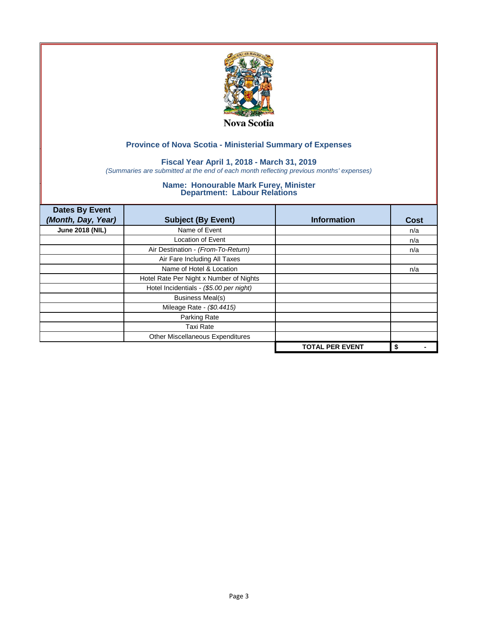

# **Fiscal Year April 1, 2018 - March 31, 2019**

*(Summaries are submitted at the end of each month reflecting previous months' expenses)*

| <b>Dates By Event</b><br>(Month, Day, Year) | <b>Subject (By Event)</b>               | <b>Information</b>     | <b>Cost</b> |
|---------------------------------------------|-----------------------------------------|------------------------|-------------|
| <b>June 2018 (NIL)</b>                      | Name of Event                           |                        | n/a         |
|                                             | Location of Event                       |                        | n/a         |
|                                             | Air Destination - (From-To-Return)      |                        | n/a         |
|                                             | Air Fare Including All Taxes            |                        |             |
|                                             | Name of Hotel & Location                |                        | n/a         |
|                                             | Hotel Rate Per Night x Number of Nights |                        |             |
|                                             | Hotel Incidentials - (\$5.00 per night) |                        |             |
|                                             | <b>Business Meal(s)</b>                 |                        |             |
|                                             | Mileage Rate - (\$0.4415)               |                        |             |
|                                             | Parking Rate                            |                        |             |
|                                             | <b>Taxi Rate</b>                        |                        |             |
|                                             | Other Miscellaneous Expenditures        |                        |             |
|                                             |                                         | <b>TOTAL PER EVENT</b> | \$          |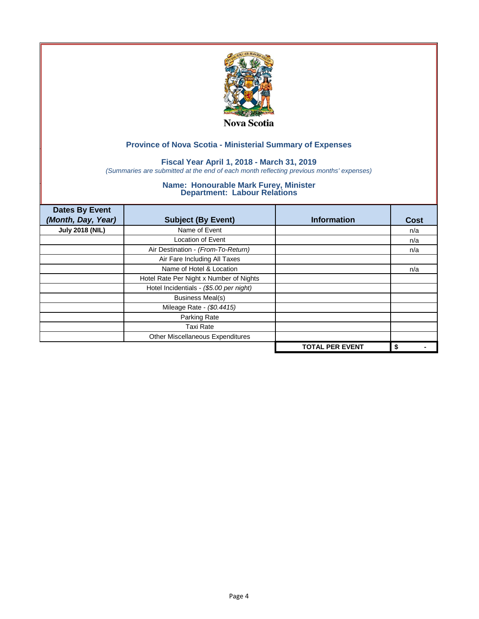

## **Fiscal Year April 1, 2018 - March 31, 2019**

*(Summaries are submitted at the end of each month reflecting previous months' expenses)*

| <b>Dates By Event</b><br>(Month, Day, Year) | <b>Subject (By Event)</b>               | <b>Information</b>     | <b>Cost</b> |
|---------------------------------------------|-----------------------------------------|------------------------|-------------|
| <b>July 2018 (NIL)</b>                      | Name of Event                           |                        | n/a         |
|                                             | <b>Location of Event</b>                |                        | n/a         |
|                                             | Air Destination - (From-To-Return)      |                        | n/a         |
|                                             | Air Fare Including All Taxes            |                        |             |
|                                             | Name of Hotel & Location                |                        | n/a         |
|                                             | Hotel Rate Per Night x Number of Nights |                        |             |
|                                             | Hotel Incidentials - (\$5.00 per night) |                        |             |
|                                             | <b>Business Meal(s)</b>                 |                        |             |
|                                             | Mileage Rate - (\$0.4415)               |                        |             |
|                                             | Parking Rate                            |                        |             |
|                                             | Taxi Rate                               |                        |             |
|                                             | Other Miscellaneous Expenditures        |                        |             |
|                                             |                                         | <b>TOTAL PER EVENT</b> | \$          |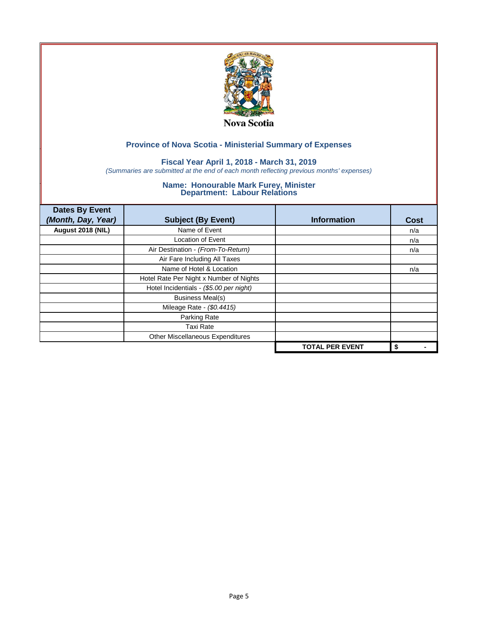

## **Fiscal Year April 1, 2018 - March 31, 2019**

*(Summaries are submitted at the end of each month reflecting previous months' expenses)*

| <b>Dates By Event</b><br>(Month, Day, Year) | <b>Subject (By Event)</b>               | <b>Information</b>     | <b>Cost</b> |
|---------------------------------------------|-----------------------------------------|------------------------|-------------|
| August 2018 (NIL)                           | Name of Event                           |                        | n/a         |
|                                             | Location of Event                       |                        | n/a         |
|                                             | Air Destination - (From-To-Return)      |                        | n/a         |
|                                             | Air Fare Including All Taxes            |                        |             |
|                                             | Name of Hotel & Location                |                        | n/a         |
|                                             | Hotel Rate Per Night x Number of Nights |                        |             |
|                                             | Hotel Incidentials - (\$5.00 per night) |                        |             |
|                                             | <b>Business Meal(s)</b>                 |                        |             |
|                                             | Mileage Rate - (\$0.4415)               |                        |             |
|                                             | Parking Rate                            |                        |             |
|                                             | <b>Taxi Rate</b>                        |                        |             |
|                                             | Other Miscellaneous Expenditures        |                        |             |
|                                             |                                         | <b>TOTAL PER EVENT</b> | \$          |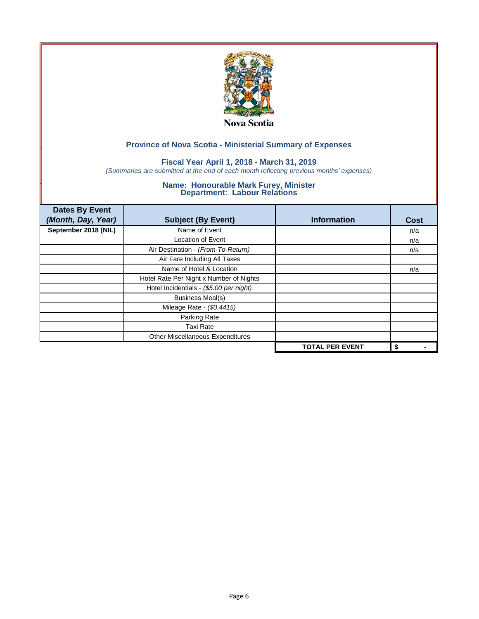

# **Fiscal Year April 1, 2018 - March 31, 2019**

*(Summaries are submitted at the end of each month reflecting previous months' expenses)*

| <b>Dates By Event</b><br>(Month, Day, Year) | <b>Subject (By Event)</b>               | <b>Information</b>     | <b>Cost</b> |
|---------------------------------------------|-----------------------------------------|------------------------|-------------|
| September 2018 (NIL)                        | Name of Event                           |                        | n/a         |
|                                             | <b>Location of Event</b>                |                        | n/a         |
|                                             | Air Destination - (From-To-Return)      |                        | n/a         |
|                                             | Air Fare Including All Taxes            |                        |             |
|                                             | Name of Hotel & Location                |                        | n/a         |
|                                             | Hotel Rate Per Night x Number of Nights |                        |             |
|                                             | Hotel Incidentials - (\$5.00 per night) |                        |             |
|                                             | <b>Business Meal(s)</b>                 |                        |             |
|                                             | Mileage Rate - (\$0.4415)               |                        |             |
|                                             | Parking Rate                            |                        |             |
|                                             | Taxi Rate                               |                        |             |
|                                             | Other Miscellaneous Expenditures        |                        |             |
|                                             |                                         | <b>TOTAL PER EVENT</b> | \$          |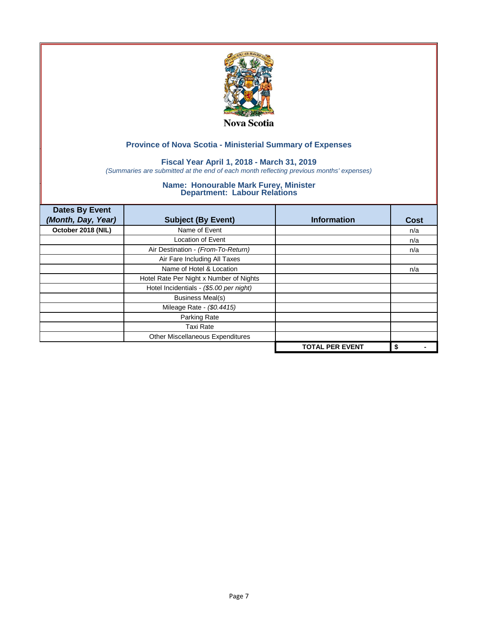

## **Fiscal Year April 1, 2018 - March 31, 2019**

*(Summaries are submitted at the end of each month reflecting previous months' expenses)*

| <b>Dates By Event</b><br>(Month, Day, Year) | <b>Subject (By Event)</b>               | <b>Information</b>     | <b>Cost</b> |
|---------------------------------------------|-----------------------------------------|------------------------|-------------|
| October 2018 (NIL)                          | Name of Event                           |                        | n/a         |
|                                             | <b>Location of Event</b>                |                        | n/a         |
|                                             | Air Destination - (From-To-Return)      |                        | n/a         |
|                                             | Air Fare Including All Taxes            |                        |             |
|                                             | Name of Hotel & Location                |                        | n/a         |
|                                             | Hotel Rate Per Night x Number of Nights |                        |             |
|                                             | Hotel Incidentials - (\$5.00 per night) |                        |             |
|                                             | <b>Business Meal(s)</b>                 |                        |             |
|                                             | Mileage Rate - (\$0.4415)               |                        |             |
|                                             | Parking Rate                            |                        |             |
|                                             | Taxi Rate                               |                        |             |
|                                             | Other Miscellaneous Expenditures        |                        |             |
|                                             |                                         | <b>TOTAL PER EVENT</b> | \$          |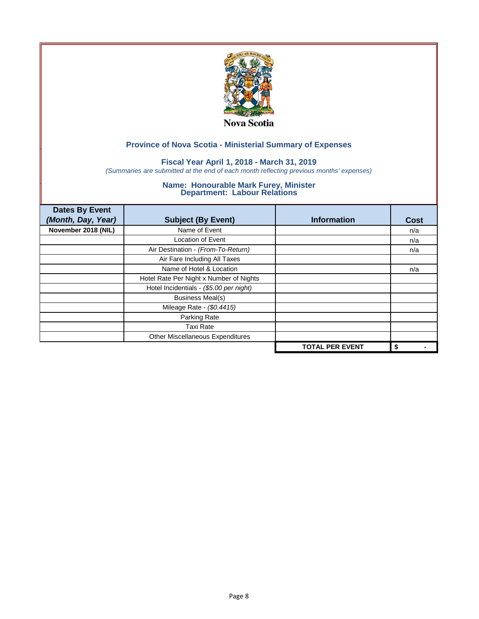

## **Fiscal Year April 1, 2018 - March 31, 2019**

*(Summaries are submitted at the end of each month reflecting previous months' expenses)*

| <b>Dates By Event</b><br>(Month, Day, Year) | <b>Subject (By Event)</b>               | <b>Information</b>     | <b>Cost</b> |
|---------------------------------------------|-----------------------------------------|------------------------|-------------|
| November 2018 (NIL)                         | Name of Event                           |                        | n/a         |
|                                             | <b>Location of Event</b>                |                        | n/a         |
|                                             | Air Destination - (From-To-Return)      |                        | n/a         |
|                                             | Air Fare Including All Taxes            |                        |             |
|                                             | Name of Hotel & Location                |                        | n/a         |
|                                             | Hotel Rate Per Night x Number of Nights |                        |             |
|                                             | Hotel Incidentials - (\$5.00 per night) |                        |             |
|                                             | <b>Business Meal(s)</b>                 |                        |             |
|                                             | Mileage Rate - (\$0.4415)               |                        |             |
|                                             | Parking Rate                            |                        |             |
|                                             | Taxi Rate                               |                        |             |
|                                             | Other Miscellaneous Expenditures        |                        |             |
|                                             |                                         | <b>TOTAL PER EVENT</b> | \$          |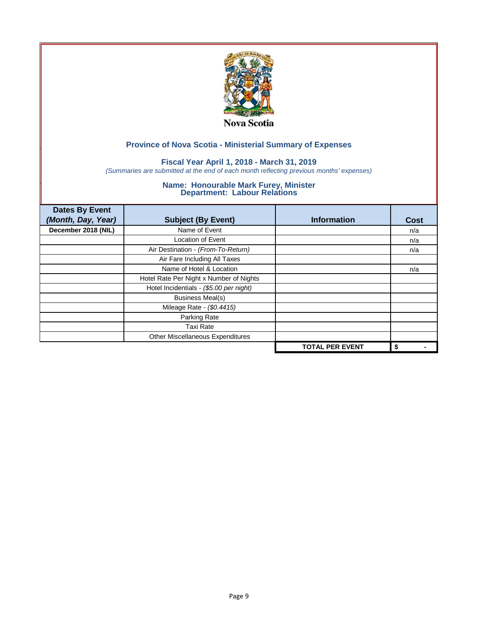

## **Fiscal Year April 1, 2018 - March 31, 2019**

*(Summaries are submitted at the end of each month reflecting previous months' expenses)*

| <b>Dates By Event</b><br>(Month, Day, Year) | <b>Subject (By Event)</b>               | <b>Information</b>     | <b>Cost</b> |
|---------------------------------------------|-----------------------------------------|------------------------|-------------|
| December 2018 (NIL)                         | Name of Event                           |                        | n/a         |
|                                             | <b>Location of Event</b>                |                        | n/a         |
|                                             | Air Destination - (From-To-Return)      |                        | n/a         |
|                                             | Air Fare Including All Taxes            |                        |             |
|                                             | Name of Hotel & Location                |                        | n/a         |
|                                             | Hotel Rate Per Night x Number of Nights |                        |             |
|                                             | Hotel Incidentials - (\$5.00 per night) |                        |             |
|                                             | <b>Business Meal(s)</b>                 |                        |             |
|                                             | Mileage Rate - (\$0.4415)               |                        |             |
|                                             | Parking Rate                            |                        |             |
|                                             | Taxi Rate                               |                        |             |
|                                             | Other Miscellaneous Expenditures        |                        |             |
|                                             |                                         | <b>TOTAL PER EVENT</b> | \$          |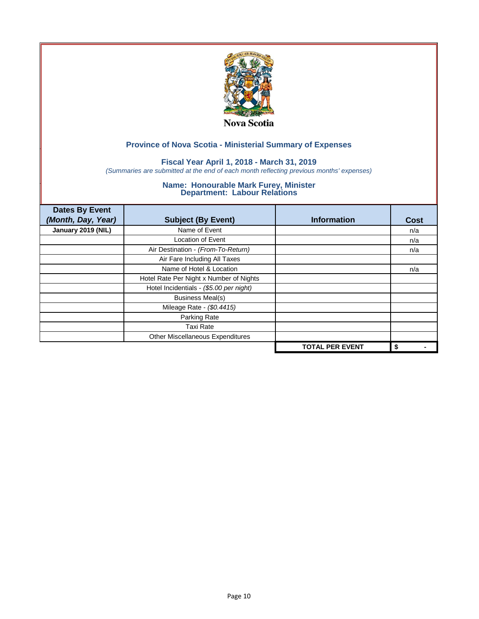

## **Fiscal Year April 1, 2018 - March 31, 2019**

*(Summaries are submitted at the end of each month reflecting previous months' expenses)*

| <b>Dates By Event</b> |                                         |                        |             |
|-----------------------|-----------------------------------------|------------------------|-------------|
| (Month, Day, Year)    | <b>Subject (By Event)</b>               | <b>Information</b>     | <b>Cost</b> |
| January 2019 (NIL)    | Name of Event                           |                        | n/a         |
|                       | <b>Location of Event</b>                |                        | n/a         |
|                       | Air Destination - (From-To-Return)      |                        | n/a         |
|                       | Air Fare Including All Taxes            |                        |             |
|                       | Name of Hotel & Location                |                        | n/a         |
|                       | Hotel Rate Per Night x Number of Nights |                        |             |
|                       | Hotel Incidentials - (\$5.00 per night) |                        |             |
|                       | <b>Business Meal(s)</b>                 |                        |             |
|                       | Mileage Rate - (\$0.4415)               |                        |             |
|                       | Parking Rate                            |                        |             |
|                       | Taxi Rate                               |                        |             |
|                       | Other Miscellaneous Expenditures        |                        |             |
|                       |                                         | <b>TOTAL PER EVENT</b> | \$          |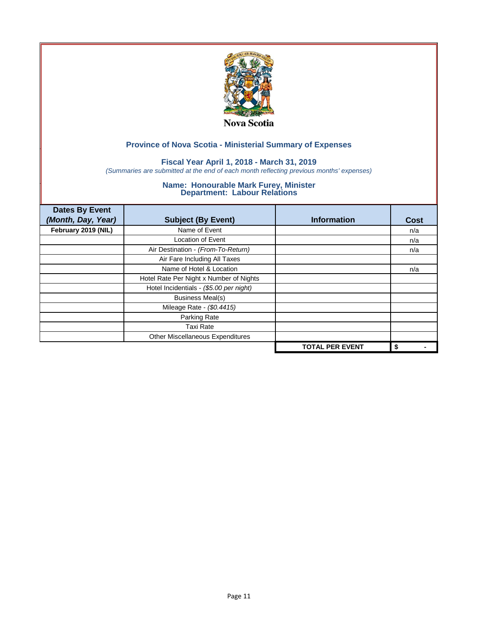

## **Fiscal Year April 1, 2018 - March 31, 2019**

*(Summaries are submitted at the end of each month reflecting previous months' expenses)*

| <b>Dates By Event</b> |                                         |                        |             |
|-----------------------|-----------------------------------------|------------------------|-------------|
| (Month, Day, Year)    | <b>Subject (By Event)</b>               | <b>Information</b>     | <b>Cost</b> |
| February 2019 (NIL)   | Name of Event                           |                        | n/a         |
|                       | <b>Location of Event</b>                |                        | n/a         |
|                       | Air Destination - (From-To-Return)      |                        | n/a         |
|                       | Air Fare Including All Taxes            |                        |             |
|                       | Name of Hotel & Location                |                        | n/a         |
|                       | Hotel Rate Per Night x Number of Nights |                        |             |
|                       | Hotel Incidentials - (\$5.00 per night) |                        |             |
|                       | <b>Business Meal(s)</b>                 |                        |             |
|                       | Mileage Rate - (\$0.4415)               |                        |             |
|                       | Parking Rate                            |                        |             |
|                       | Taxi Rate                               |                        |             |
|                       | Other Miscellaneous Expenditures        |                        |             |
|                       |                                         | <b>TOTAL PER EVENT</b> | \$          |